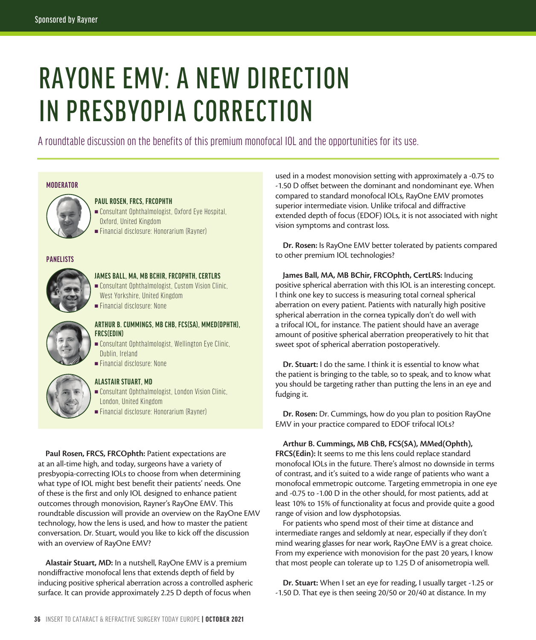# RAYONE EMV: A NEW DIRECTION IN PRESBYOPIA CORRECTION

A roundtable discussion on the benefits of this premium monofocal IOL and the opportunities for its use.

#### **MODERATOR**



# **PAUL ROSEN, FRCS, FRCOPHTH**

 $\blacksquare$  Consultant Ophthalmologist, Oxford Eye Hospital, Oxford, United Kingdom <sup>n</sup> Financial disclosure: Honorarium (Rayner)

### **PANELISTS**



## **JAMES BALL, MA, MB BCHIR, FRCOPHTH, CERTLRS**

- $\blacksquare$  Consultant Ophthalmologist, Custom Vision Clinic, West Yorkshire, United Kingdom  $=$  Financial disclosure: None
- 

# **ARTHUR B. CUMMINGS, MB CHB, FCS(SA), MMED(OPHTH), FRCS(EDIN)**

- **n** Consultant Ophthalmologist, Wellington Eye Clinic, Dublin, Ireland
- <sup>n</sup> Financial disclosure: None

# **ALASTAIR STUART, MD**

**Example 2** Consultant Ophthalmologist, London Vision Clinic, London, United Kingdom <sup>n</sup> Financial disclosure: Honorarium (Rayner)

Paul Rosen, FRCS, FRCOphth: Patient expectations are at an all-time high, and today, surgeons have a variety of presbyopia-correcting IOLs to choose from when determining what type of IOL might best benefit their patients' needs. One of these is the first and only IOL designed to enhance patient outcomes through monovision, Rayner's RayOne EMV. This roundtable discussion will provide an overview on the RayOne EMV technology, how the lens is used, and how to master the patient conversation. Dr. Stuart, would you like to kick off the discussion with an overview of RayOne EMV?

**Alastair Stuart, MD:** In a nutshell, RayOne EMV is a premium nondiffractive monofocal lens that extends depth of field by inducing positive spherical aberration across a controlled aspheric surface. It can provide approximately 2.25 D depth of focus when

used in a modest monovision setting with approximately a -0.75 to -1.50 D offset between the dominant and nondominant eye. When compared to standard monofocal IOLs, RayOne EMV promotes superior intermediate vision. Unlike trifocal and diffractive extended depth of focus (EDOF) IOLs, it is not associated with night vision symptoms and contrast loss.

**Dr. Rosen:** Is RayOne EMV better tolerated by patients compared to other premium IOL technologies?

**James Ball, MA, MB BChir, FRCOphth, CertLRS:** Inducing positive spherical aberration with this IOL is an interesting concept. I think one key to success is measuring total corneal spherical aberration on every patient. Patients with naturally high positive spherical aberration in the cornea typically don't do well with a trifocal IOL, for instance. The patient should have an average amount of positive spherical aberration preoperatively to hit that sweet spot of spherical aberration postoperatively.

**Dr. Stuart:** I do the same. I think it is essential to know what the patient is bringing to the table, so to speak, and to know what you should be targeting rather than putting the lens in an eye and fudging it.

**Dr. Rosen:** Dr. Cummings, how do you plan to position RayOne EMV in your practice compared to EDOF trifocal IOLs?

**Arthur B. Cummings, MB ChB, FCS(SA), MMed(Ophth), FRCS(Edin):** It seems to me this lens could replace standard monofocal IOLs in the future. There's almost no downside in terms of contrast, and it's suited to a wide range of patients who want a monofocal emmetropic outcome. Targeting emmetropia in one eye and -0.75 to -1.00 D in the other should, for most patients, add at least 10% to 15% of functionality at focus and provide quite a good range of vision and low dysphotopsias.

For patients who spend most of their time at distance and intermediate ranges and seldomly at near, especially if they don't mind wearing glasses for near work, RayOne EMV is a great choice. From my experience with monovision for the past 20 years, I know that most people can tolerate up to 1.25 D of anisometropia well.

**Dr. Stuart:** When I set an eye for reading, I usually target -1.25 or -1.50 D. That eye is then seeing 20/50 or 20/40 at distance. In my